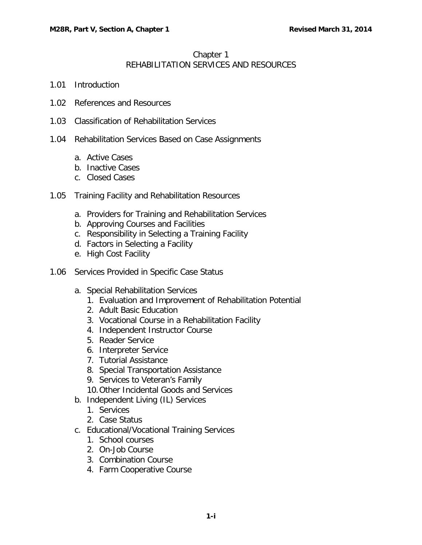## Chapter 1 REHABILITATION SERVICES AND RESOURCES

- 1.01 [Introduction](#page-3-0)
- 1.02 [References and](#page-3-1) Resources
- 1.03 [Classification of Rehabilitation Services](#page-4-0)
- 1.04 [Rehabilitation Services Based on Case Assignments](#page-5-0)
	- a. [Active Cases](#page-5-1)
	- b. [Inactive Cases](#page-5-2)
	- c. [Closed Cases](#page-6-0)
- 1.05 [Training Facility and Rehabilitation Resources](#page-6-1)
	- a. [Providers for Training and Rehabilitation Services](#page-6-2)
	- b. [Approving Courses and Facilities](#page-6-3)
	- c. [Responsibility in Selecting a Training Facility](#page-7-0)
	- d. [Factors in Selecting a Facility](#page-7-1)
	- e. [High Cost Facility](#page-7-2)
- 1.06 [Services Provided in Specific Case Status](#page-7-3)
	- a. [Special Rehabilitation Services](#page-7-4)
		- 1. [Evaluation and Improvement of Rehabilitation Potential](#page-7-5)
		- 2. [Adult Basic Education](#page-8-0)
		- 3. [Vocational Course in a Rehabilitation Facility](#page-9-0)
		- 4. [Independent Instructor Course](#page-9-1)
		- 5. [Reader Service](#page-11-0)
		- 6. [Interpreter Service](#page-12-0)
		- 7. [Tutorial Assistance](#page-13-0)
		- 8. [Special Transportation Assistance](#page-14-0)
		- 9. [Services to Veteran's Family](#page-15-0)
		- [10.Other Incidental Goods and Services](#page-16-0)
	- b. [Independent Living \(IL\) Services](#page-18-0)
		- 1. [Services](#page-19-0)
		- 2. [Case Status](#page-19-1)
	- c. [Educational/Vocational Training Services](#page-20-0)
		- 1. [School courses](#page-20-1)
		- 2. [On-Job Course](#page-20-2)
		- 3. [Combination Course](#page-21-0)
		- 4. [Farm Cooperative Course](#page-22-0)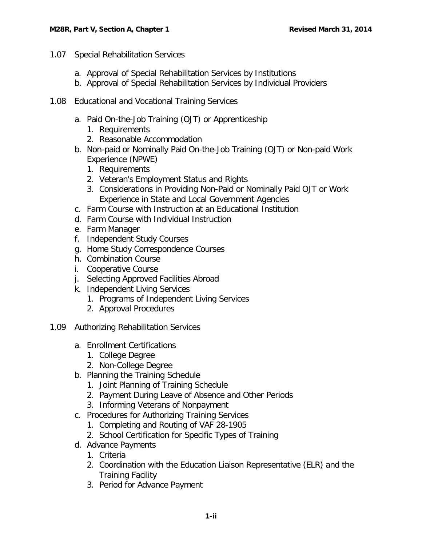- 1.07 [Special Rehabilitation Services](#page-24-0)
	- a. [Approval of Special Rehabilitation Services by Institutions](#page-24-1)
	- b. [Approval of Special Rehabilitation Services by Individual Providers](#page-25-0)
- 1.08 [Educational and Vocational Training Services](#page-25-1)
	- a. [Paid On-the-Job Training \(OJT\) or Apprenticeship](#page-26-0)
		- 1. [Requirements](#page-26-1)
		- 2. [Reasonable Accommodation](#page-26-2)
	- b. [Non-paid or Nominally Paid On-the-Job Training \(OJT\) or Non-paid Work](#page-27-0)  [Experience](#page-27-0) (NPWE)
		- 1. [Requirements](#page-27-1)
		- 2. [Veteran's Employment Status and Rights](#page-28-0)
		- 3. [Considerations in Providing Non-Paid or Nominally Paid OJT or Work](#page-28-1)  [Experience in State and Local Government Agencies](#page-28-1)
	- c. [Farm Course with Instruction at an Educational Institution](#page-29-0)
	- d. [Farm Course with Individual Instruction](#page-29-1)
	- e. [Farm Manager](#page-30-0)
	- f. [Independent Study Courses](#page-30-1)
	- g. [Home Study Correspondence Courses](#page-31-0)
	- h. [Combination Course](#page-31-1)
	- i. [Cooperative Course](#page-32-0)
	- j. [Selecting Approved Facilities Abroad](#page-32-1)
	- k. [Independent Living Services](#page-33-0)
		- 1. [Programs of Independent Living Services](#page-33-1)
		- 2. [Approval Procedures](#page-33-2)
- 1.09 [Authorizing Rehabilitation Services](#page-33-3)
	- a. [Enrollment Certifications](#page-33-4)
		- 1. [College Degree](#page-34-0)
		- 2. [Non-College Degree](#page-34-1)
	- b. [Planning the Training Schedule](#page-34-2)
		- 1. [Joint Planning of Training Schedule](#page-34-3)
		- 2. [Payment During Leave of Absence and Other Periods](#page-34-4)
		- 3. [Informing Veterans of Nonpayment](#page-35-0)
	- c. [Procedures for Authorizing Training Services](#page-35-1)
		- 1. [Completing and Routing of VAF 28-1905](#page-35-2)
		- 2. [School Certification for Specific Types of Training](#page-35-3)
	- d. [Advance Payments](#page-37-0)
		- 1. [Criteria](#page-37-1)
		- 2. [Coordination with the Education Liaison Representative \(ELR\) and the](#page-38-0)  [Training Facility](#page-38-0)
		- 3. [Period for Advance Payment](#page-38-1)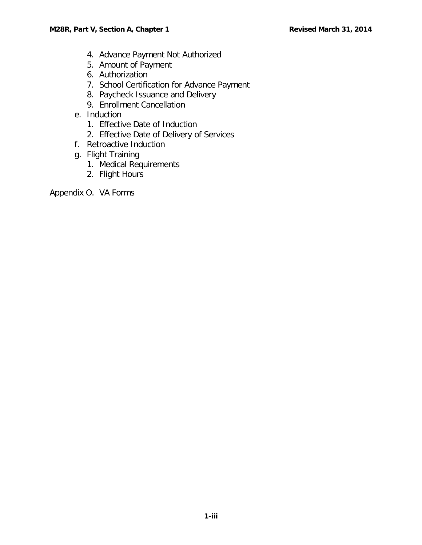- 4. [Advance Payment Not Authorized](#page-39-0)
- 5. [Amount of Payment](#page-39-1)
- 6. [Authorization](#page-39-2)
- 7. [School Certification for Advance Payment](#page-39-3)
- 8. [Paycheck Issuance and Delivery](#page-40-0)
- 9. [Enrollment Cancellation](#page-41-0)
- e. [Induction](#page-41-1)
	- 1. [Effective Date of Induction](#page-41-2)
	- 2. [Effective Date of Delivery of Services](#page-41-3)
- f. [Retroactive Induction](#page-41-4)
- g. [Flight Training](#page-42-0)
	- 1. [Medical Requirements](#page-42-1)
	- 2. [Flight Hours](#page-43-0)

Appendix O. VA Forms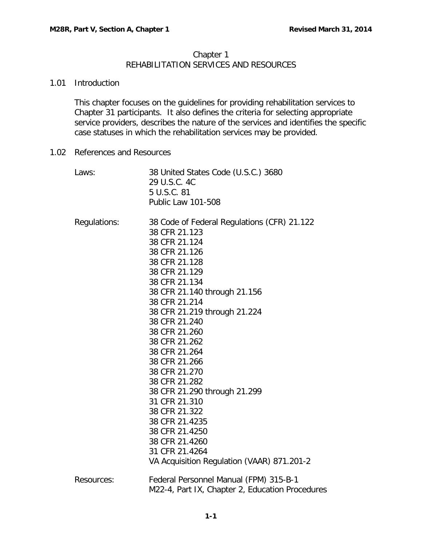### Chapter 1 REHABILITATION SERVICES AND RESOURCES

#### <span id="page-3-0"></span>1.01 Introduction

This chapter focuses on the guidelines for providing rehabilitation services to Chapter 31 participants. It also defines the criteria for selecting appropriate service providers, describes the nature of the services and identifies the specific case statuses in which the rehabilitation services may be provided.

<span id="page-3-1"></span>1.02 References and Resources

| Laws:        | 38 United States Code (U.S.C.) 3680<br>29 U.S.C. 4C<br>5 U.S.C. 81<br>Public Law 101-508                                                                                                                                                                                                                                                                                                                                                                                                                                                          |
|--------------|---------------------------------------------------------------------------------------------------------------------------------------------------------------------------------------------------------------------------------------------------------------------------------------------------------------------------------------------------------------------------------------------------------------------------------------------------------------------------------------------------------------------------------------------------|
| Regulations: | 38 Code of Federal Regulations (CFR) 21.122<br>38 CFR 21.123<br>38 CFR 21.124<br>38 CFR 21.126<br>38 CFR 21.128<br>38 CFR 21.129<br>38 CFR 21.134<br>38 CFR 21.140 through 21.156<br>38 CFR 21.214<br>38 CFR 21.219 through 21.224<br>38 CFR 21.240<br>38 CFR 21.260<br>38 CFR 21.262<br>38 CFR 21.264<br>38 CFR 21.266<br>38 CFR 21.270<br>38 CFR 21.282<br>38 CFR 21.290 through 21.299<br>31 CFR 21.310<br>38 CFR 21.322<br>38 CFR 21.4235<br>38 CFR 21.4250<br>38 CFR 21.4260<br>31 CFR 21.4264<br>VA Acquisition Regulation (VAAR) 871.201-2 |
| Resources:   | Federal Personnel Manual (FPM) 315-B-1<br>M22-4, Part IX, Chapter 2, Education Procedures                                                                                                                                                                                                                                                                                                                                                                                                                                                         |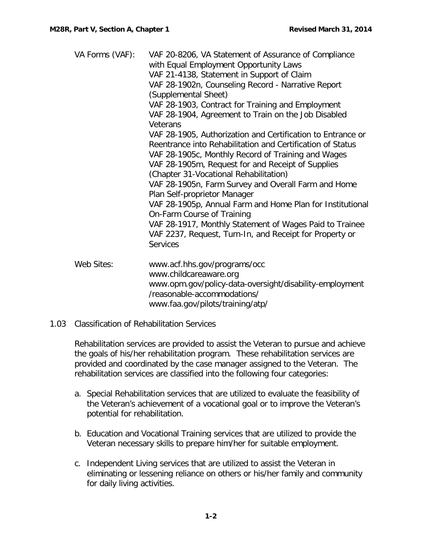| VA Forms (VAF): | VAF 20-8206, VA Statement of Assurance of Compliance<br>with Equal Employment Opportunity Laws<br>VAF 21-4138, Statement in Support of Claim<br>VAF 28-1902n, Counseling Record - Narrative Report<br>(Supplemental Sheet)<br>VAF 28-1903, Contract for Training and Employment<br>VAF 28-1904, Agreement to Train on the Job Disabled<br>Veterans<br>VAF 28-1905, Authorization and Certification to Entrance or<br>Reentrance into Rehabilitation and Certification of Status<br>VAF 28-1905c, Monthly Record of Training and Wages<br>VAF 28-1905m, Request for and Receipt of Supplies<br>(Chapter 31-Vocational Rehabilitation)<br>VAF 28-1905n, Farm Survey and Overall Farm and Home<br>Plan Self-proprietor Manager<br>VAF 28-1905p, Annual Farm and Home Plan for Institutional<br>On-Farm Course of Training<br>VAF 28-1917, Monthly Statement of Wages Paid to Trainee |
|-----------------|-----------------------------------------------------------------------------------------------------------------------------------------------------------------------------------------------------------------------------------------------------------------------------------------------------------------------------------------------------------------------------------------------------------------------------------------------------------------------------------------------------------------------------------------------------------------------------------------------------------------------------------------------------------------------------------------------------------------------------------------------------------------------------------------------------------------------------------------------------------------------------------|
|                 | VAF 2237, Request, Turn-In, and Receipt for Property or<br><b>Services</b>                                                                                                                                                                                                                                                                                                                                                                                                                                                                                                                                                                                                                                                                                                                                                                                                        |
| Web Sites:      | www.acf.hhs.gov/programs/occ<br>www.childcareaware.org<br>www.opm.gov/policy-data-oversight/disability-employment<br>/reasonable-accommodations/                                                                                                                                                                                                                                                                                                                                                                                                                                                                                                                                                                                                                                                                                                                                  |

## <span id="page-4-0"></span>1.03 Classification of Rehabilitation Services

Rehabilitation services are provided to assist the Veteran to pursue and achieve the goals of his/her rehabilitation program. These rehabilitation services are provided and coordinated by the case manager assigned to the Veteran. The rehabilitation services are classified into the following four categories:

www.faa.gov/pilots/training/atp/

- a. Special Rehabilitation services that are utilized to evaluate the feasibility of the Veteran's achievement of a vocational goal or to improve the Veteran's potential for rehabilitation.
- b. Education and Vocational Training services that are utilized to provide the Veteran necessary skills to prepare him/her for suitable employment.
- c. Independent Living services that are utilized to assist the Veteran in eliminating or lessening reliance on others or his/her family and community for daily living activities.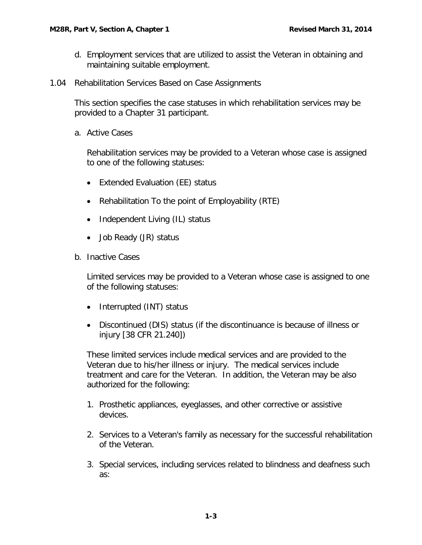- d. Employment services that are utilized to assist the Veteran in obtaining and maintaining suitable employment.
- <span id="page-5-0"></span>1.04 Rehabilitation Services Based on Case Assignments

This section specifies the case statuses in which rehabilitation services may be provided to a Chapter 31 participant.

<span id="page-5-1"></span>a. Active Cases

Rehabilitation services may be provided to a Veteran whose case is assigned to one of the following statuses:

- Extended Evaluation (EE) status
- Rehabilitation To the point of Employability (RTE)
- Independent Living (IL) status
- Job Ready (JR) status
- <span id="page-5-2"></span>b. Inactive Cases

Limited services may be provided to a Veteran whose case is assigned to one of the following statuses:

- Interrupted (INT) status
- Discontinued (DIS) status (if the discontinuance is because of illness or injury [38 CFR 21.240])

These limited services include medical services and are provided to the Veteran due to his/her illness or injury. The medical services include treatment and care for the Veteran. In addition, the Veteran may be also authorized for the following:

- 1. Prosthetic appliances, eyeglasses, and other corrective or assistive devices.
- 2. Services to a Veteran's family as necessary for the successful rehabilitation of the Veteran.
- 3. Special services, including services related to blindness and deafness such as: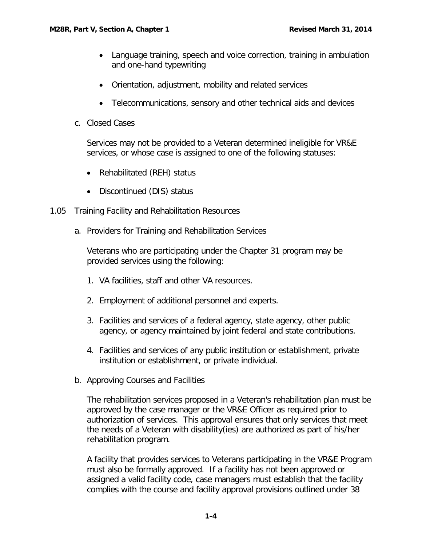- Language training, speech and voice correction, training in ambulation and one-hand typewriting
- Orientation, adjustment, mobility and related services
- Telecommunications, sensory and other technical aids and devices
- <span id="page-6-0"></span>c. Closed Cases

Services may not be provided to a Veteran determined ineligible for VR&E services, or whose case is assigned to one of the following statuses:

- Rehabilitated (REH) status
- Discontinued (DIS) status
- <span id="page-6-2"></span><span id="page-6-1"></span>1.05 Training Facility and Rehabilitation Resources
	- a. Providers for Training and Rehabilitation Services

Veterans who are participating under the Chapter 31 program may be provided services using the following:

- 1. VA facilities, staff and other VA resources.
- 2. Employment of additional personnel and experts.
- 3. Facilities and services of a federal agency, state agency, other public agency, or agency maintained by joint federal and state contributions.
- 4. Facilities and services of any public institution or establishment, private institution or establishment, or private individual.
- <span id="page-6-3"></span>b. Approving Courses and Facilities

The rehabilitation services proposed in a Veteran's rehabilitation plan must be approved by the case manager or the VR&E Officer as required prior to authorization of services. This approval ensures that only services that meet the needs of a Veteran with disability(ies) are authorized as part of his/her rehabilitation program.

A facility that provides services to Veterans participating in the VR&E Program must also be formally approved. If a facility has not been approved or assigned a valid facility code, case managers must establish that the facility complies with the course and facility approval provisions outlined under 38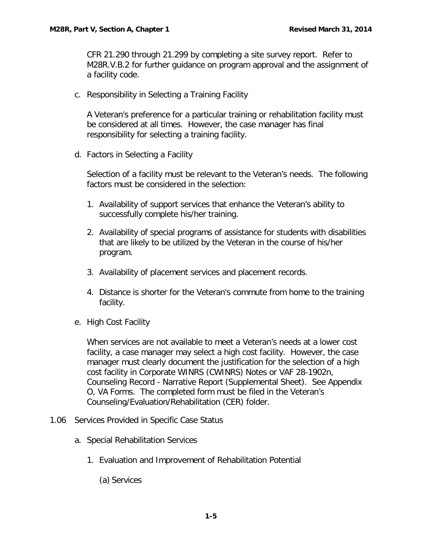CFR 21.290 through 21.299 by completing a site survey report. Refer to M28R.V.B.2 for further guidance on program approval and the assignment of a facility code.

<span id="page-7-0"></span>c. Responsibility in Selecting a Training Facility

A Veteran's preference for a particular training or rehabilitation facility must be considered at all times. However, the case manager has final responsibility for selecting a training facility.

<span id="page-7-1"></span>d. Factors in Selecting a Facility

Selection of a facility must be relevant to the Veteran's needs. The following factors must be considered in the selection:

- 1. Availability of support services that enhance the Veteran's ability to successfully complete his/her training.
- 2. Availability of special programs of assistance for students with disabilities that are likely to be utilized by the Veteran in the course of his/her program.
- 3. Availability of placement services and placement records.
- 4. Distance is shorter for the Veteran's commute from home to the training facility.
- <span id="page-7-2"></span>e. High Cost Facility

When services are not available to meet a Veteran's needs at a lower cost facility, a case manager may select a high cost facility. However, the case manager must clearly document the justification for the selection of a high cost facility in Corporate WINRS (CWINRS) Notes or VAF 28-1902n, Counseling Record - Narrative Report (Supplemental Sheet). See Appendix O, VA Forms. The completed form must be filed in the Veteran's Counseling/Evaluation/Rehabilitation (CER) folder.

- <span id="page-7-5"></span><span id="page-7-4"></span><span id="page-7-3"></span>1.06 Services Provided in Specific Case Status
	- a. Special Rehabilitation Services
		- 1. Evaluation and Improvement of Rehabilitation Potential
			- (a) Services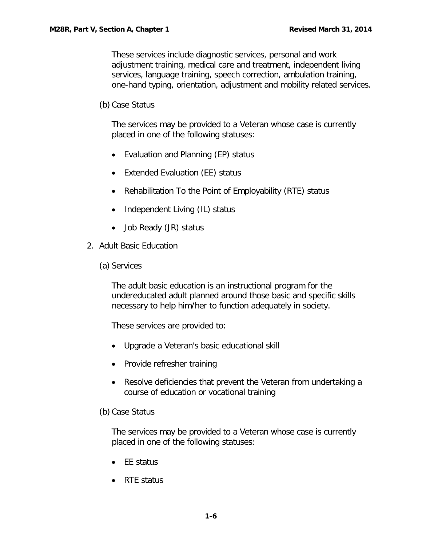These services include diagnostic services, personal and work adjustment training, medical care and treatment, independent living services, language training, speech correction, ambulation training, one-hand typing, orientation, adjustment and mobility related services.

(b) Case Status

The services may be provided to a Veteran whose case is currently placed in one of the following statuses:

- Evaluation and Planning (EP) status
- Extended Evaluation (EE) status
- Rehabilitation To the Point of Employability (RTE) status
- Independent Living (IL) status
- Job Ready (JR) status
- <span id="page-8-0"></span>2. Adult Basic Education
	- (a) Services

The adult basic education is an instructional program for the undereducated adult planned around those basic and specific skills necessary to help him/her to function adequately in society.

These services are provided to:

- Upgrade a Veteran's basic educational skill
- Provide refresher training
- Resolve deficiencies that prevent the Veteran from undertaking a course of education or vocational training

(b) Case Status

The services may be provided to a Veteran whose case is currently placed in one of the following statuses:

- EE status
- RTE status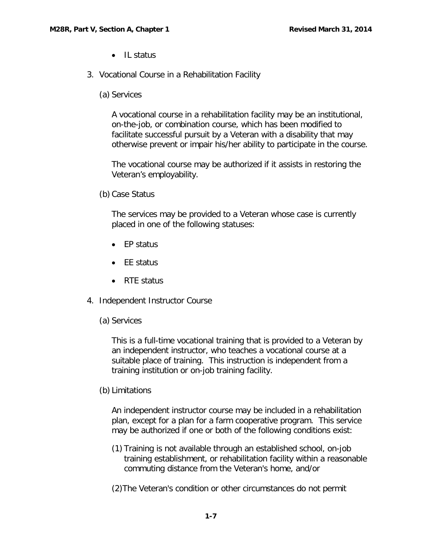- IL status
- <span id="page-9-0"></span>3. Vocational Course in a Rehabilitation Facility
	- (a) Services

A vocational course in a rehabilitation facility may be an institutional, on-the-job, or combination course, which has been modified to facilitate successful pursuit by a Veteran with a disability that may otherwise prevent or impair his/her ability to participate in the course.

The vocational course may be authorized if it assists in restoring the Veteran's employability.

(b) Case Status

The services may be provided to a Veteran whose case is currently placed in one of the following statuses:

- EP status
- EE status
- RTE status
- <span id="page-9-1"></span>4. Independent Instructor Course
	- (a) Services

This is a full-time vocational training that is provided to a Veteran by an independent instructor, who teaches a vocational course at a suitable place of training. This instruction is independent from a training institution or on-job training facility.

(b) Limitations

An independent instructor course may be included in a rehabilitation plan, except for a plan for a farm cooperative program. This service may be authorized if one or both of the following conditions exist:

- (1) Training is not available through an established school, on-job training establishment, or rehabilitation facility within a reasonable commuting distance from the Veteran's home, and/or
- (2)The Veteran's condition or other circumstances do not permit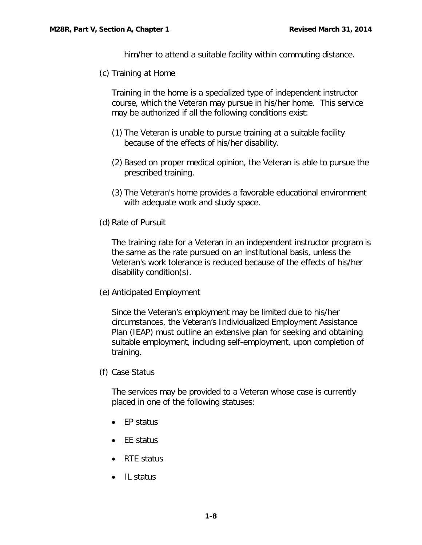him/her to attend a suitable facility within commuting distance.

(c) Training at Home

Training in the home is a specialized type of independent instructor course, which the Veteran may pursue in his/her home. This service may be authorized if all the following conditions exist:

- (1) The Veteran is unable to pursue training at a suitable facility because of the effects of his/her disability.
- (2) Based on proper medical opinion, the Veteran is able to pursue the prescribed training.
- (3) The Veteran's home provides a favorable educational environment with adequate work and study space.
- (d) Rate of Pursuit

The training rate for a Veteran in an independent instructor program is the same as the rate pursued on an institutional basis, unless the Veteran's work tolerance is reduced because of the effects of his/her disability condition(s).

(e) Anticipated Employment

Since the Veteran's employment may be limited due to his/her circumstances, the Veteran's Individualized Employment Assistance Plan (IEAP) must outline an extensive plan for seeking and obtaining suitable employment, including self-employment, upon completion of training.

(f) Case Status

The services may be provided to a Veteran whose case is currently placed in one of the following statuses:

- EP status
- EE status
- RTE status
- IL status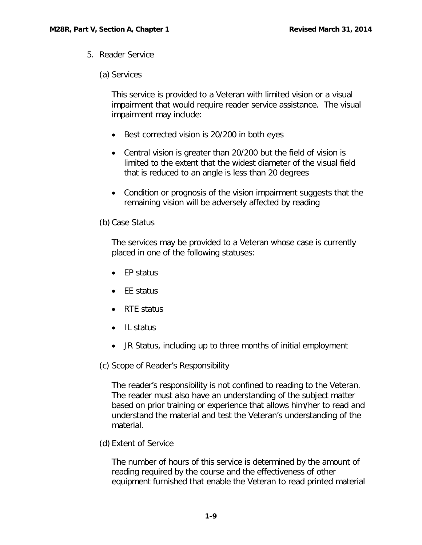<span id="page-11-0"></span>5. Reader Service

# (a) Services

This service is provided to a Veteran with limited vision or a visual impairment that would require reader service assistance. The visual impairment may include:

- Best corrected vision is 20/200 in both eyes
- Central vision is greater than 20/200 but the field of vision is limited to the extent that the widest diameter of the visual field that is reduced to an angle is less than 20 degrees
- Condition or prognosis of the vision impairment suggests that the remaining vision will be adversely affected by reading
- (b) Case Status

The services may be provided to a Veteran whose case is currently placed in one of the following statuses:

- EP status
- FF status
- RTE status
- IL status
- JR Status, including up to three months of initial employment
- (c) Scope of Reader's Responsibility

The reader's responsibility is not confined to reading to the Veteran. The reader must also have an understanding of the subject matter based on prior training or experience that allows him/her to read and understand the material and test the Veteran's understanding of the material.

(d) Extent of Service

The number of hours of this service is determined by the amount of reading required by the course and the effectiveness of other equipment furnished that enable the Veteran to read printed material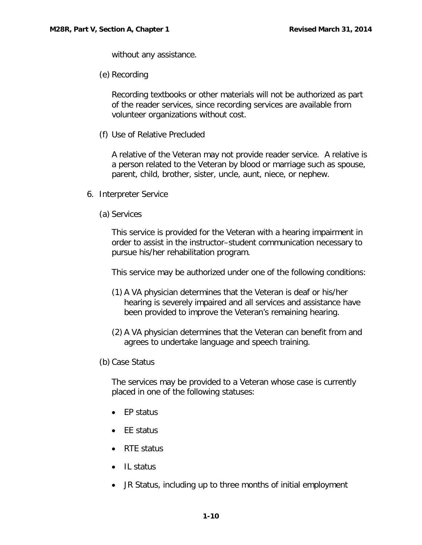without any assistance.

(e) Recording

Recording textbooks or other materials will not be authorized as part of the reader services, since recording services are available from volunteer organizations without cost.

(f) Use of Relative Precluded

A relative of the Veteran may not provide reader service. A relative is a person related to the Veteran by blood or marriage such as spouse, parent, child, brother, sister, uncle, aunt, niece, or nephew.

- <span id="page-12-0"></span>6. Interpreter Service
	- (a) Services

This service is provided for the Veteran with a hearing impairment in order to assist in the instructor–student communication necessary to pursue his/her rehabilitation program.

This service may be authorized under one of the following conditions:

- (1) A VA physician determines that the Veteran is deaf or his/her hearing is severely impaired and all services and assistance have been provided to improve the Veteran's remaining hearing.
- (2) A VA physician determines that the Veteran can benefit from and agrees to undertake language and speech training.
- (b) Case Status

The services may be provided to a Veteran whose case is currently placed in one of the following statuses:

- EP status
- EE status
- RTE status
- IL status
- JR Status, including up to three months of initial employment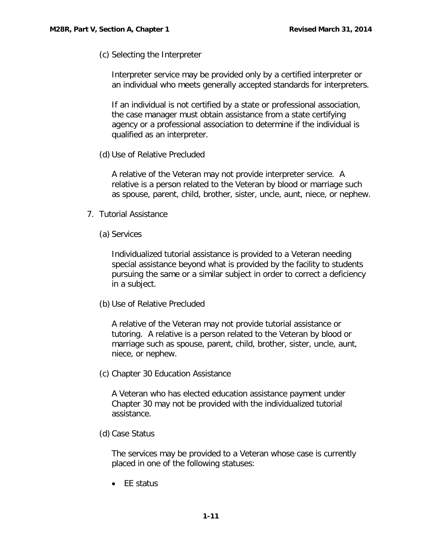(c) Selecting the Interpreter

Interpreter service may be provided only by a certified interpreter or an individual who meets generally accepted standards for interpreters.

If an individual is not certified by a state or professional association, the case manager must obtain assistance from a state certifying agency or a professional association to determine if the individual is qualified as an interpreter.

(d) Use of Relative Precluded

A relative of the Veteran may not provide interpreter service. A relative is a person related to the Veteran by blood or marriage such as spouse, parent, child, brother, sister, uncle, aunt, niece, or nephew.

- <span id="page-13-0"></span>7. Tutorial Assistance
	- (a) Services

Individualized tutorial assistance is provided to a Veteran needing special assistance beyond what is provided by the facility to students pursuing the same or a similar subject in order to correct a deficiency in a subject.

(b) Use of Relative Precluded

A relative of the Veteran may not provide tutorial assistance or tutoring. A relative is a person related to the Veteran by blood or marriage such as spouse, parent, child, brother, sister, uncle, aunt, niece, or nephew.

(c) Chapter 30 Education Assistance

A Veteran who has elected education assistance payment under Chapter 30 may not be provided with the individualized tutorial assistance.

(d) Case Status

The services may be provided to a Veteran whose case is currently placed in one of the following statuses:

• EE status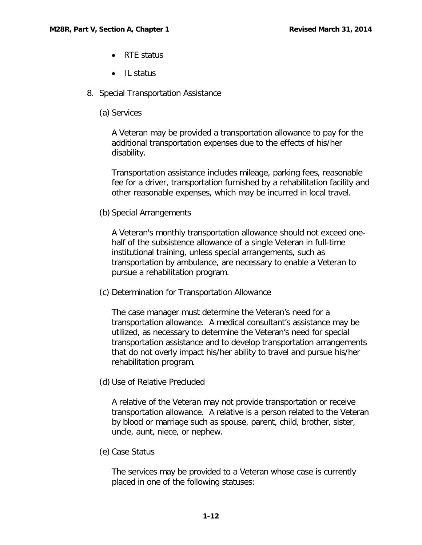- RTF status
- Il status
- <span id="page-14-0"></span>8. Special Transportation Assistance
	- (a) Services

A Veteran may be provided a transportation allowance to pay for the additional transportation expenses due to the effects of his/her disability.

Transportation assistance includes mileage, parking fees, reasonable fee for a driver, transportation furnished by a rehabilitation facility and other reasonable expenses, which may be incurred in local travel.

(b) Special Arrangements

A Veteran's monthly transportation allowance should not exceed onehalf of the subsistence allowance of a single Veteran in full-time institutional training, unless special arrangements, such as transportation by ambulance, are necessary to enable a Veteran to pursue a rehabilitation program.

(c) Determination for Transportation Allowance

The case manager must determine the Veteran's need for a transportation allowance. A medical consultant's assistance may be utilized, as necessary to determine the Veteran's need for special transportation assistance and to develop transportation arrangements that do not overly impact his/her ability to travel and pursue his/her rehabilitation program.

(d) Use of Relative Precluded

A relative of the Veteran may not provide transportation or receive transportation allowance. A relative is a person related to the Veteran by blood or marriage such as spouse, parent, child, brother, sister, uncle, aunt, niece, or nephew.

(e) Case Status

The services may be provided to a Veteran whose case is currently placed in one of the following statuses: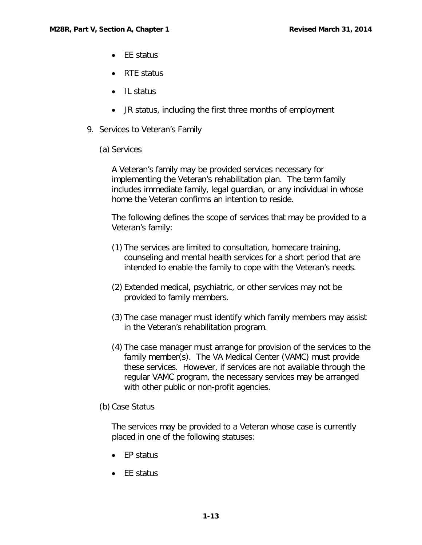- FF status
- RTE status
- IL status
- JR status, including the first three months of employment
- <span id="page-15-0"></span>9. Services to Veteran's Family
	- (a) Services

A Veteran's family may be provided services necessary for implementing the Veteran's rehabilitation plan. The term family includes immediate family, legal guardian, or any individual in whose home the Veteran confirms an intention to reside.

The following defines the scope of services that may be provided to a Veteran's family:

- (1) The services are limited to consultation, homecare training, counseling and mental health services for a short period that are intended to enable the family to cope with the Veteran's needs.
- (2) Extended medical, psychiatric, or other services may not be provided to family members.
- (3) The case manager must identify which family members may assist in the Veteran's rehabilitation program.
- (4) The case manager must arrange for provision of the services to the family member(s). The VA Medical Center (VAMC) must provide these services. However, if services are not available through the regular VAMC program, the necessary services may be arranged with other public or non-profit agencies.
- (b) Case Status

The services may be provided to a Veteran whose case is currently placed in one of the following statuses:

- EP status
- EE status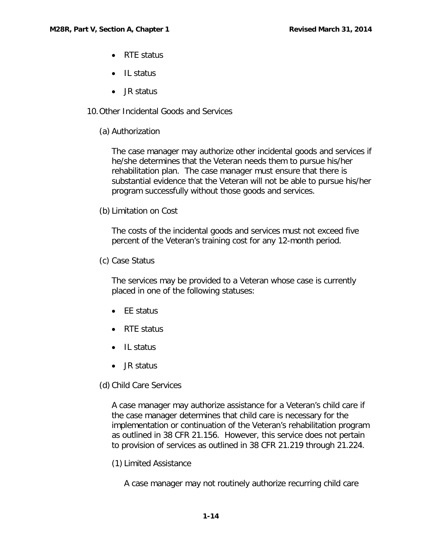- RTF status
- Il status
- JR status
- <span id="page-16-0"></span>10.Other Incidental Goods and Services
	- (a) Authorization

The case manager may authorize other incidental goods and services if he/she determines that the Veteran needs them to pursue his/her rehabilitation plan. The case manager must ensure that there is substantial evidence that the Veteran will not be able to pursue his/her program successfully without those goods and services.

(b) Limitation on Cost

The costs of the incidental goods and services must not exceed five percent of the Veteran's training cost for any 12-month period.

(c) Case Status

The services may be provided to a Veteran whose case is currently placed in one of the following statuses:

- EE status
- RTE status
- IL status
- JR status

(d) Child Care Services

A case manager may authorize assistance for a Veteran's child care if the case manager determines that child care is necessary for the implementation or continuation of the Veteran's rehabilitation program as outlined in 38 CFR 21.156. However, this service does not pertain to provision of services as outlined in 38 CFR 21.219 through 21.224.

(1) Limited Assistance

A case manager may not routinely authorize recurring child care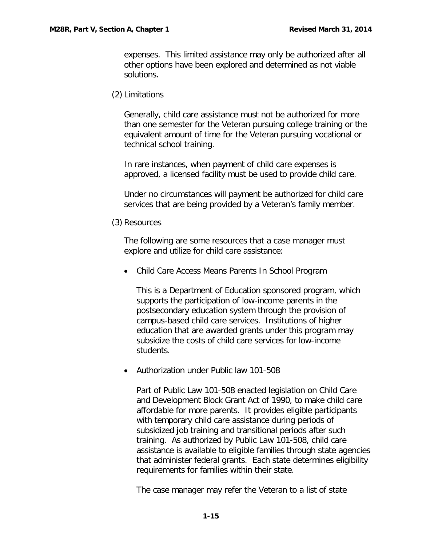expenses. This limited assistance may only be authorized after all other options have been explored and determined as not viable solutions.

(2) Limitations

Generally, child care assistance must not be authorized for more than one semester for the Veteran pursuing college training or the equivalent amount of time for the Veteran pursuing vocational or technical school training.

In rare instances, when payment of child care expenses is approved, a licensed facility must be used to provide child care.

Under no circumstances will payment be authorized for child care services that are being provided by a Veteran's family member.

(3) Resources

The following are some resources that a case manager must explore and utilize for child care assistance:

• Child Care Access Means Parents In School Program

This is a Department of Education sponsored program, which supports the participation of low-income parents in the postsecondary education system through the provision of campus-based child care services. Institutions of higher education that are awarded grants under this program may subsidize the costs of child care services for low-income students.

• Authorization under Public law 101-508

Part of Public Law 101-508 enacted legislation on Child Care and Development Block Grant Act of 1990, to make child care affordable for more parents. It provides eligible participants with temporary child care assistance during periods of subsidized job training and transitional periods after such training. As authorized by Public Law 101-508, child care assistance is available to eligible families through state agencies that administer federal grants. Each state determines eligibility requirements for families within their state.

The case manager may refer the Veteran to a list of state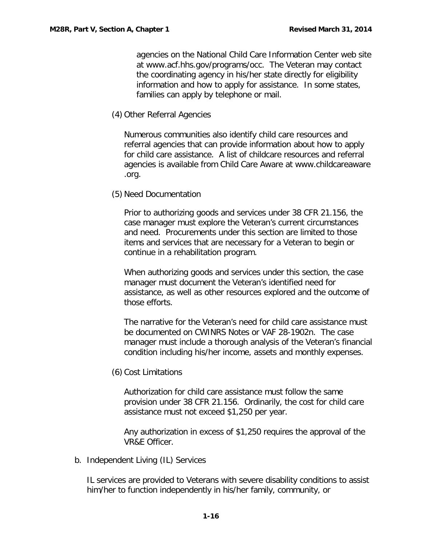agencies on the National Child Care Information Center web site at www.acf.hhs.gov/programs/occ. The Veteran may contact the coordinating agency in his/her state directly for eligibility information and how to apply for assistance. In some states, families can apply by telephone or mail.

(4) Other Referral Agencies

Numerous communities also identify child care resources and referral agencies that can provide information about how to apply for child care assistance. A list of childcare resources and referral agencies is available from Child Care Aware at www.childcareaware .org.

(5) Need Documentation

Prior to authorizing goods and services under 38 CFR 21.156, the case manager must explore the Veteran's current circumstances and need. Procurements under this section are limited to those items and services that are necessary for a Veteran to begin or continue in a rehabilitation program.

When authorizing goods and services under this section, the case manager must document the Veteran's identified need for assistance, as well as other resources explored and the outcome of those efforts.

The narrative for the Veteran's need for child care assistance must be documented on CWINRS Notes or VAF 28-1902n. The case manager must include a thorough analysis of the Veteran's financial condition including his/her income, assets and monthly expenses.

(6) Cost Limitations

Authorization for child care assistance must follow the same provision under 38 CFR 21.156. Ordinarily, the cost for child care assistance must not exceed \$1,250 per year.

Any authorization in excess of \$1,250 requires the approval of the VR&E Officer.

<span id="page-18-0"></span>b. Independent Living (IL) Services

IL services are provided to Veterans with severe disability conditions to assist him/her to function independently in his/her family, community, or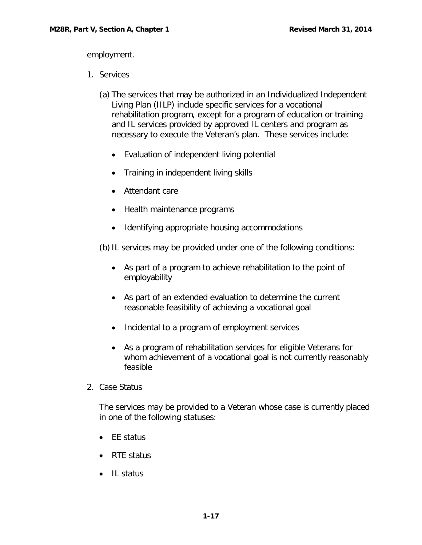employment.

- <span id="page-19-0"></span>1. Services
	- (a) The services that may be authorized in an Individualized Independent Living Plan (IILP) include specific services for a vocational rehabilitation program, except for a program of education or training and IL services provided by approved IL centers and program as necessary to execute the Veteran's plan. These services include:
		- Evaluation of independent living potential
		- Training in independent living skills
		- Attendant care
		- Health maintenance programs
		- Identifying appropriate housing accommodations

(b) IL services may be provided under one of the following conditions:

- As part of a program to achieve rehabilitation to the point of employability
- As part of an extended evaluation to determine the current reasonable feasibility of achieving a vocational goal
- Incidental to a program of employment services
- As a program of rehabilitation services for eligible Veterans for whom achievement of a vocational goal is not currently reasonably feasible
- <span id="page-19-1"></span>2. Case Status

The services may be provided to a Veteran whose case is currently placed in one of the following statuses:

- EE status
- RTE status
- IL status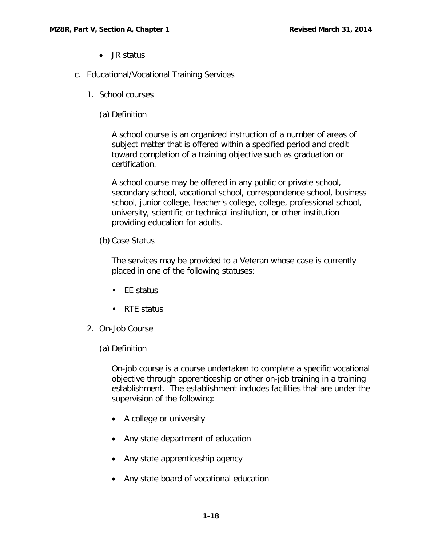- JR status
- <span id="page-20-1"></span><span id="page-20-0"></span>c. Educational/Vocational Training Services
	- 1. School courses
		- (a) Definition

A school course is an organized instruction of a number of areas of subject matter that is offered within a specified period and credit toward completion of a training objective such as graduation or certification.

A school course may be offered in any public or private school, secondary school, vocational school, correspondence school, business school, junior college, teacher's college, college, professional school, university, scientific or technical institution, or other institution providing education for adults.

(b) Case Status

The services may be provided to a Veteran whose case is currently placed in one of the following statuses:

- FF status
- RTE status
- <span id="page-20-2"></span>2. On-Job Course
	- (a) Definition

On-job course is a course undertaken to complete a specific vocational objective through apprenticeship or other on-job training in a training establishment. The establishment includes facilities that are under the supervision of the following:

- A college or university
- Any state department of education
- Any state apprenticeship agency
- Any state board of vocational education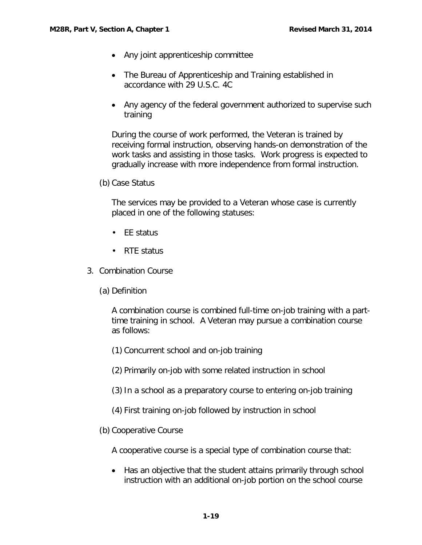- Any joint apprenticeship committee
- The Bureau of Apprenticeship and Training established in accordance with 29 U.S.C. 4C
- Any agency of the federal government authorized to supervise such training

During the course of work performed, the Veteran is trained by receiving formal instruction, observing hands-on demonstration of the work tasks and assisting in those tasks. Work progress is expected to gradually increase with more independence from formal instruction.

(b) Case Status

The services may be provided to a Veteran whose case is currently placed in one of the following statuses:

- EE status
- RTE status
- <span id="page-21-0"></span>3. Combination Course
	- (a) Definition

A combination course is combined full-time on-job training with a parttime training in school. A Veteran may pursue a combination course as follows:

- (1) Concurrent school and on-job training
- (2) Primarily on-job with some related instruction in school
- (3)In a school as a preparatory course to entering on-job training
- (4) First training on-job followed by instruction in school
- (b) Cooperative Course

A cooperative course is a special type of combination course that:

• Has an objective that the student attains primarily through school instruction with an additional on-job portion on the school course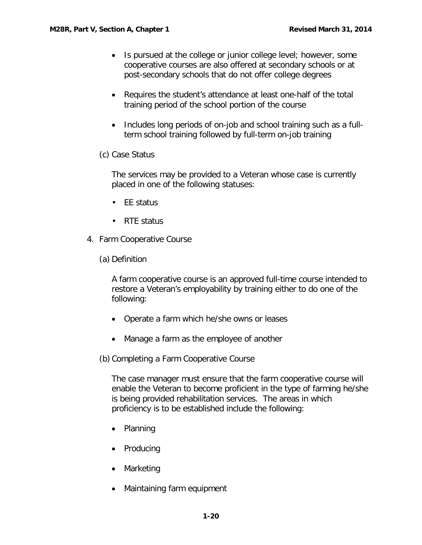- Is pursued at the college or junior college level; however, some cooperative courses are also offered at secondary schools or at post-secondary schools that do not offer college degrees
- Requires the student's attendance at least one-half of the total training period of the school portion of the course
- Includes long periods of on-job and school training such as a fullterm school training followed by full-term on-job training
- (c) Case Status

The services may be provided to a Veteran whose case is currently placed in one of the following statuses:

- EE status
- RTE status
- <span id="page-22-0"></span>4. Farm Cooperative Course
	- (a) Definition

A farm cooperative course is an approved full-time course intended to restore a Veteran's employability by training either to do one of the following:

- Operate a farm which he/she owns or leases
- Manage a farm as the employee of another

(b) Completing a Farm Cooperative Course

The case manager must ensure that the farm cooperative course will enable the Veteran to become proficient in the type of farming he/she is being provided rehabilitation services. The areas in which proficiency is to be established include the following:

- Planning
- Producing
- Marketing
- Maintaining farm equipment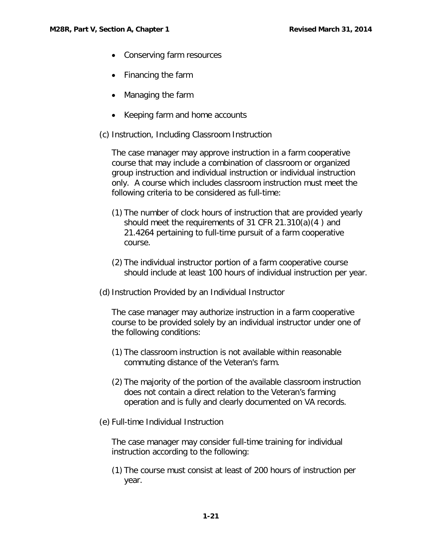- Conserving farm resources
- Financing the farm
- Managing the farm
- Keeping farm and home accounts
- (c) Instruction, Including Classroom Instruction

The case manager may approve instruction in a farm cooperative course that may include a combination of classroom or organized group instruction and individual instruction or individual instruction only. A course which includes classroom instruction must meet the following criteria to be considered as full-time:

- (1) The number of clock hours of instruction that are provided yearly should meet the requirements of 31 CFR 21.310(a)(4 ) and 21.4264 pertaining to full-time pursuit of a farm cooperative course.
- (2) The individual instructor portion of a farm cooperative course should include at least 100 hours of individual instruction per year.
- (d)Instruction Provided by an Individual Instructor

The case manager may authorize instruction in a farm cooperative course to be provided solely by an individual instructor under one of the following conditions:

- (1) The classroom instruction is not available within reasonable commuting distance of the Veteran's farm.
- (2) The majority of the portion of the available classroom instruction does not contain a direct relation to the Veteran's farming operation and is fully and clearly documented on VA records.
- (e) Full-time Individual Instruction

The case manager may consider full-time training for individual instruction according to the following:

(1) The course must consist at least of 200 hours of instruction per year.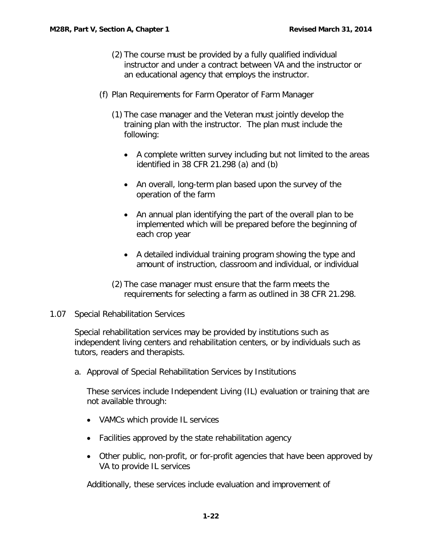- (2) The course must be provided by a fully qualified individual instructor and under a contract between VA and the instructor or an educational agency that employs the instructor.
- (f) Plan Requirements for Farm Operator of Farm Manager
	- (1) The case manager and the Veteran must jointly develop the training plan with the instructor. The plan must include the following:
		- A complete written survey including but not limited to the areas identified in 38 CFR 21.298 (a) and (b)
		- An overall, long-term plan based upon the survey of the operation of the farm
		- An annual plan identifying the part of the overall plan to be implemented which will be prepared before the beginning of each crop year
		- A detailed individual training program showing the type and amount of instruction, classroom and individual, or individual
	- (2) The case manager must ensure that the farm meets the requirements for selecting a farm as outlined in 38 CFR 21.298.

### <span id="page-24-0"></span>1.07 Special Rehabilitation Services

Special rehabilitation services may be provided by institutions such as independent living centers and rehabilitation centers, or by individuals such as tutors, readers and therapists.

<span id="page-24-1"></span>a. Approval of Special Rehabilitation Services by Institutions

These services include Independent Living (IL) evaluation or training that are not available through:

- VAMCs which provide IL services
- Facilities approved by the state rehabilitation agency
- Other public, non-profit, or for-profit agencies that have been approved by VA to provide IL services

Additionally, these services include evaluation and improvement of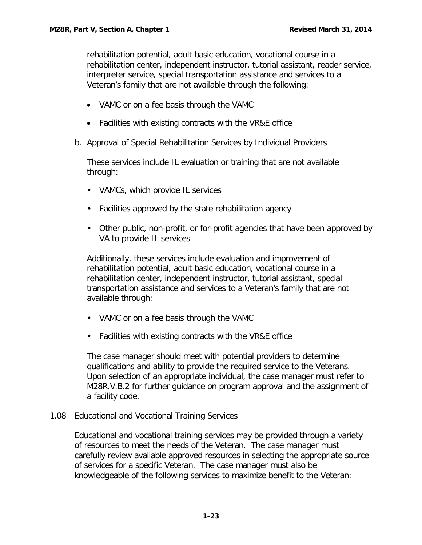rehabilitation potential, adult basic education, vocational course in a rehabilitation center, independent instructor, tutorial assistant, reader service, interpreter service, special transportation assistance and services to a Veteran's family that are not available through the following:

- VAMC or on a fee basis through the VAMC
- Facilities with existing contracts with the VR&E office
- <span id="page-25-0"></span>b. Approval of Special Rehabilitation Services by Individual Providers

These services include IL evaluation or training that are not available through:

- VAMCs, which provide IL services
- Facilities approved by the state rehabilitation agency
- Other public, non-profit, or for-profit agencies that have been approved by VA to provide IL services

Additionally, these services include evaluation and improvement of rehabilitation potential, adult basic education, vocational course in a rehabilitation center, independent instructor, tutorial assistant, special transportation assistance and services to a Veteran's family that are not available through:

- VAMC or on a fee basis through the VAMC
- Facilities with existing contracts with the VR&E office

The case manager should meet with potential providers to determine qualifications and ability to provide the required service to the Veterans. Upon selection of an appropriate individual, the case manager must refer to M28R.V.B.2 for further guidance on program approval and the assignment of a facility code.

## <span id="page-25-1"></span>1.08 Educational and Vocational Training Services

Educational and vocational training services may be provided through a variety of resources to meet the needs of the Veteran. The case manager must carefully review available approved resources in selecting the appropriate source of services for a specific Veteran. The case manager must also be knowledgeable of the following services to maximize benefit to the Veteran: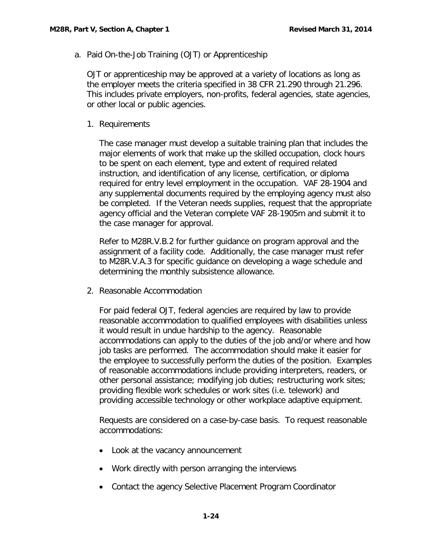<span id="page-26-0"></span>a. Paid On-the-Job Training (OJT) or Apprenticeship

OJT or apprenticeship may be approved at a variety of locations as long as the employer meets the criteria specified in 38 CFR 21.290 through 21.296. This includes private employers, non-profits, federal agencies, state agencies, or other local or public agencies.

### <span id="page-26-1"></span>1. Requirements

The case manager must develop a suitable training plan that includes the major elements of work that make up the skilled occupation, clock hours to be spent on each element, type and extent of required related instruction, and identification of any license, certification, or diploma required for entry level employment in the occupation. VAF 28-1904 and any supplemental documents required by the employing agency must also be completed. If the Veteran needs supplies, request that the appropriate agency official and the Veteran complete VAF 28-1905m and submit it to the case manager for approval.

Refer to M28R.V.B.2 for further guidance on program approval and the assignment of a facility code. Additionally, the case manager must refer to M28R.V.A.3 for specific guidance on developing a wage schedule and determining the monthly subsistence allowance.

<span id="page-26-2"></span>2. Reasonable Accommodation

For paid federal OJT, federal agencies are required by law to provide reasonable accommodation to qualified employees with disabilities unless it would result in undue hardship to the agency. Reasonable accommodations can apply to the duties of the job and/or where and how job tasks are performed. The accommodation should make it easier for the employee to successfully perform the duties of the position. Examples of reasonable accommodations include providing interpreters, readers, or other personal assistance; modifying job duties; restructuring work sites; providing flexible work schedules or work sites (i.e. telework) and providing accessible technology or other workplace adaptive equipment.

Requests are considered on a case-by-case basis. To request reasonable accommodations:

- Look at the vacancy announcement
- Work directly with person arranging the interviews
- Contact the agency Selective Placement Program Coordinator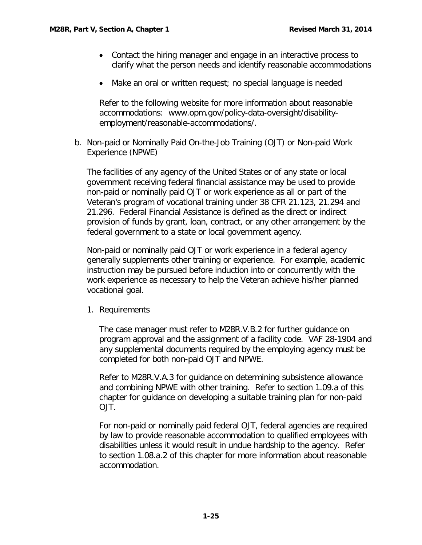- Contact the hiring manager and engage in an interactive process to clarify what the person needs and identify reasonable accommodations
- Make an oral or written request; no special language is needed

Refer to the following website for more information about reasonable accommodations: www.opm.gov/policy-data-oversight/disabilityemployment/reasonable-accommodations/.

<span id="page-27-0"></span>b. Non-paid or Nominally Paid On-the-Job Training (OJT) or Non-paid Work Experience (NPWE)

The facilities of any agency of the United States or of any state or local government receiving federal financial assistance may be used to provide non-paid or nominally paid OJT or work experience as all or part of the Veteran's program of vocational training under 38 CFR 21.123, 21.294 and 21.296. Federal Financial Assistance is defined as the direct or indirect provision of funds by grant, loan, contract, or any other arrangement by the federal government to a state or local government agency.

Non-paid or nominally paid OJT or work experience in a federal agency generally supplements other training or experience. For example, academic instruction may be pursued before induction into or concurrently with the work experience as necessary to help the Veteran achieve his/her planned vocational goal.

<span id="page-27-1"></span>1. Requirements

The case manager must refer to M28R.V.B.2 for further guidance on program approval and the assignment of a facility code. VAF 28-1904 and any supplemental documents required by the employing agency must be completed for both non-paid OJT and NPWE.

Refer to M28R.V.A.3 for guidance on determining subsistence allowance and combining NPWE with other training. Refer to section 1.09.a of this chapter for guidance on developing a suitable training plan for non-paid OJT.

For non-paid or nominally paid federal OJT, federal agencies are required by law to provide reasonable accommodation to qualified employees with disabilities unless it would result in undue hardship to the agency. Refer to section 1.08.a.2 of this chapter for more information about reasonable accommodation.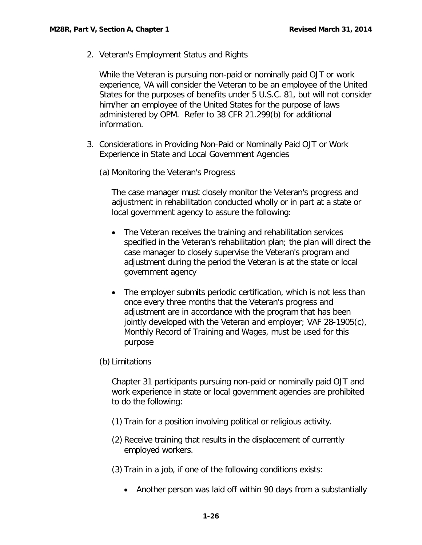<span id="page-28-0"></span>2. Veteran's Employment Status and Rights

While the Veteran is pursuing non-paid or nominally paid OJT or work experience, VA will consider the Veteran to be an employee of the United States for the purposes of benefits under 5 U.S.C. 81, but will not consider him/her an employee of the United States for the purpose of laws administered by OPM. Refer to 38 CFR 21.299(b) for additional information.

- <span id="page-28-1"></span>3. Considerations in Providing Non-Paid or Nominally Paid OJT or Work Experience in State and Local Government Agencies
	- (a) Monitoring the Veteran's Progress

The case manager must closely monitor the Veteran's progress and adjustment in rehabilitation conducted wholly or in part at a state or local government agency to assure the following:

- The Veteran receives the training and rehabilitation services specified in the Veteran's rehabilitation plan; the plan will direct the case manager to closely supervise the Veteran's program and adjustment during the period the Veteran is at the state or local government agency
- The employer submits periodic certification, which is not less than once every three months that the Veteran's progress and adjustment are in accordance with the program that has been jointly developed with the Veteran and employer; VAF 28-1905(c), Monthly Record of Training and Wages, must be used for this purpose
- (b) Limitations

Chapter 31 participants pursuing non-paid or nominally paid OJT and work experience in state or local government agencies are prohibited to do the following:

- (1) Train for a position involving political or religious activity.
- (2) Receive training that results in the displacement of currently employed workers.
- (3) Train in a job, if one of the following conditions exists:
	- Another person was laid off within 90 days from a substantially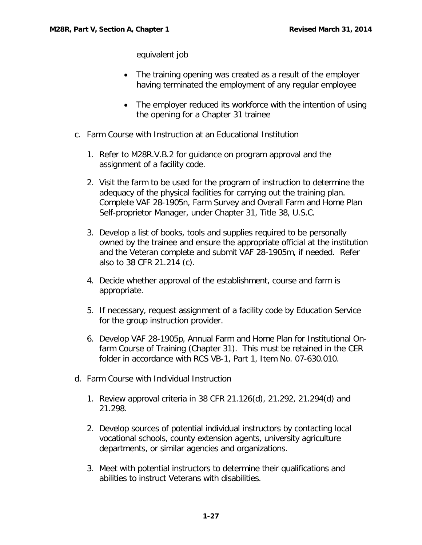equivalent job

- The training opening was created as a result of the employer having terminated the employment of any regular employee
- The employer reduced its workforce with the intention of using the opening for a Chapter 31 trainee
- <span id="page-29-0"></span>c. Farm Course with Instruction at an Educational Institution
	- 1. Refer to M28R.V.B.2 for guidance on program approval and the assignment of a facility code.
	- 2. Visit the farm to be used for the program of instruction to determine the adequacy of the physical facilities for carrying out the training plan. Complete VAF 28-1905n, Farm Survey and Overall Farm and Home Plan Self-proprietor Manager, under Chapter 31, Title 38, U.S.C.
	- 3. Develop a list of books, tools and supplies required to be personally owned by the trainee and ensure the appropriate official at the institution and the Veteran complete and submit VAF 28-1905m, if needed. Refer also to 38 CFR 21.214 (c).
	- 4. Decide whether approval of the establishment, course and farm is appropriate.
	- 5. If necessary, request assignment of a facility code by Education Service for the group instruction provider.
	- 6. Develop VAF 28-1905p, Annual Farm and Home Plan for Institutional Onfarm Course of Training (Chapter 31). This must be retained in the CER folder in accordance with RCS VB-1, Part 1, Item No. 07-630.010.
- <span id="page-29-1"></span>d. Farm Course with Individual Instruction
	- 1. Review approval criteria in 38 CFR 21.126(d), 21.292, 21.294(d) and 21.298.
	- 2. Develop sources of potential individual instructors by contacting local vocational schools, county extension agents, university agriculture departments, or similar agencies and organizations.
	- 3. Meet with potential instructors to determine their qualifications and abilities to instruct Veterans with disabilities.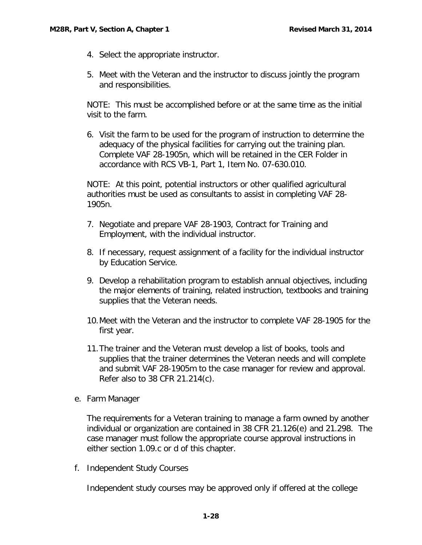- 4. Select the appropriate instructor.
- 5. Meet with the Veteran and the instructor to discuss jointly the program and responsibilities.

NOTE: This must be accomplished before or at the same time as the initial visit to the farm.

6. Visit the farm to be used for the program of instruction to determine the adequacy of the physical facilities for carrying out the training plan. Complete VAF 28-1905n, which will be retained in the CER Folder in accordance with RCS VB-1, Part 1, Item No. 07-630.010.

NOTE: At this point, potential instructors or other qualified agricultural authorities must be used as consultants to assist in completing VAF 28- 1905n.

- 7. Negotiate and prepare VAF 28-1903, Contract for Training and Employment, with the individual instructor.
- 8. If necessary, request assignment of a facility for the individual instructor by Education Service.
- 9. Develop a rehabilitation program to establish annual objectives, including the major elements of training, related instruction, textbooks and training supplies that the Veteran needs.
- 10.Meet with the Veteran and the instructor to complete VAF 28-1905 for the first year.
- 11.The trainer and the Veteran must develop a list of books, tools and supplies that the trainer determines the Veteran needs and will complete and submit VAF 28-1905m to the case manager for review and approval. Refer also to 38 CFR 21.214(c).
- <span id="page-30-0"></span>e. Farm Manager

The requirements for a Veteran training to manage a farm owned by another individual or organization are contained in 38 CFR 21.126(e) and 21.298. The case manager must follow the appropriate course approval instructions in either section 1.09.c or d of this chapter.

<span id="page-30-1"></span>f. Independent Study Courses

Independent study courses may be approved only if offered at the college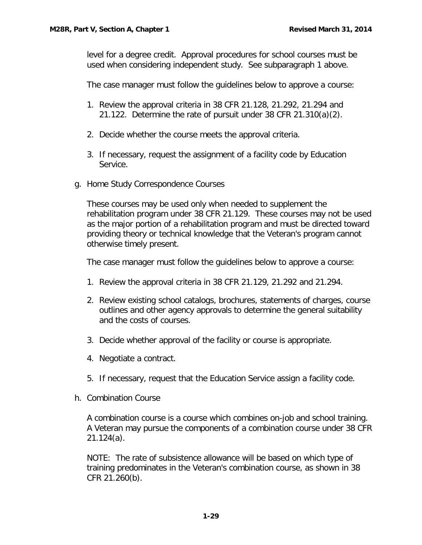level for a degree credit. Approval procedures for school courses must be used when considering independent study. See subparagraph 1 above.

The case manager must follow the guidelines below to approve a course:

- 1. Review the approval criteria in 38 CFR 21.128, 21.292, 21.294 and 21.122. Determine the rate of pursuit under 38 CFR 21.310(a)(2).
- 2. Decide whether the course meets the approval criteria.
- 3. If necessary, request the assignment of a facility code by Education Service.
- <span id="page-31-0"></span>g. Home Study Correspondence Courses

These courses may be used only when needed to supplement the rehabilitation program under 38 CFR 21.129. These courses may not be used as the major portion of a rehabilitation program and must be directed toward providing theory or technical knowledge that the Veteran's program cannot otherwise timely present.

The case manager must follow the guidelines below to approve a course:

- 1. Review the approval criteria in 38 CFR 21.129, 21.292 and 21.294.
- 2. Review existing school catalogs, brochures, statements of charges, course outlines and other agency approvals to determine the general suitability and the costs of courses.
- 3. Decide whether approval of the facility or course is appropriate.
- 4. Negotiate a contract.
- 5. If necessary, request that the Education Service assign a facility code.
- <span id="page-31-1"></span>h. Combination Course

A combination course is a course which combines on-job and school training. A Veteran may pursue the components of a combination course under 38 CFR 21.124(a).

NOTE: The rate of subsistence allowance will be based on which type of training predominates in the Veteran's combination course, as shown in 38 CFR 21.260(b).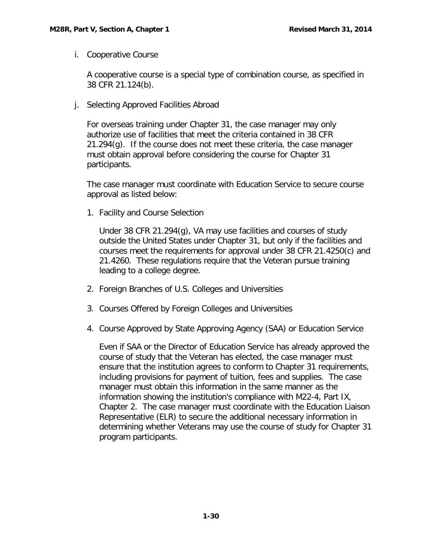<span id="page-32-0"></span>i. Cooperative Course

A cooperative course is a special type of combination course, as specified in 38 CFR 21.124(b).

<span id="page-32-1"></span>j. Selecting Approved Facilities Abroad

For overseas training under Chapter 31, the case manager may only authorize use of facilities that meet the criteria contained in 38 CFR 21.294(g). If the course does not meet these criteria, the case manager must obtain approval before considering the course for Chapter 31 participants.

The case manager must coordinate with Education Service to secure course approval as listed below:

1. Facility and Course Selection

Under 38 CFR 21.294(g), VA may use facilities and courses of study outside the United States under Chapter 31, but only if the facilities and courses meet the requirements for approval under 38 CFR 21.4250(c) and 21.4260. These regulations require that the Veteran pursue training leading to a college degree.

- 2. Foreign Branches of U.S. Colleges and Universities
- 3. Courses Offered by Foreign Colleges and Universities
- 4. Course Approved by State Approving Agency (SAA) or Education Service

Even if SAA or the Director of Education Service has already approved the course of study that the Veteran has elected, the case manager must ensure that the institution agrees to conform to Chapter 31 requirements, including provisions for payment of tuition, fees and supplies. The case manager must obtain this information in the same manner as the information showing the institution's compliance with M22-4, Part IX, Chapter 2. The case manager must coordinate with the Education Liaison Representative (ELR) to secure the additional necessary information in determining whether Veterans may use the course of study for Chapter 31 program participants.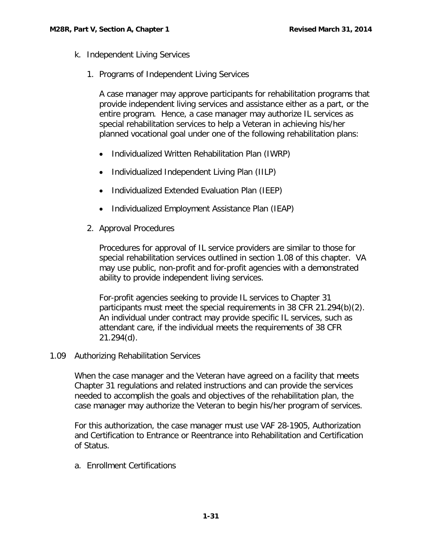- <span id="page-33-1"></span><span id="page-33-0"></span>k. Independent Living Services
	- 1. Programs of Independent Living Services

A case manager may approve participants for rehabilitation programs that provide independent living services and assistance either as a part, or the entire program. Hence, a case manager may authorize IL services as special rehabilitation services to help a Veteran in achieving his/her planned vocational goal under one of the following rehabilitation plans:

- Individualized Written Rehabilitation Plan (IWRP)
- Individualized Independent Living Plan (IILP)
- Individualized Extended Evaluation Plan (IEEP)
- Individualized Employment Assistance Plan (IEAP)
- <span id="page-33-2"></span>2. Approval Procedures

Procedures for approval of IL service providers are similar to those for special rehabilitation services outlined in section 1.08 of this chapter. VA may use public, non-profit and for-profit agencies with a demonstrated ability to provide independent living services.

For-profit agencies seeking to provide IL services to Chapter 31 participants must meet the special requirements in 38 CFR 21.294(b)(2). An individual under contract may provide specific IL services, such as attendant care, if the individual meets the requirements of 38 CFR 21.294(d).

<span id="page-33-3"></span>1.09 Authorizing Rehabilitation Services

When the case manager and the Veteran have agreed on a facility that meets Chapter 31 regulations and related instructions and can provide the services needed to accomplish the goals and objectives of the rehabilitation plan, the case manager may authorize the Veteran to begin his/her program of services.

For this authorization, the case manager must use VAF 28-1905, Authorization and Certification to Entrance or Reentrance into Rehabilitation and Certification of Status.

<span id="page-33-4"></span>a. Enrollment Certifications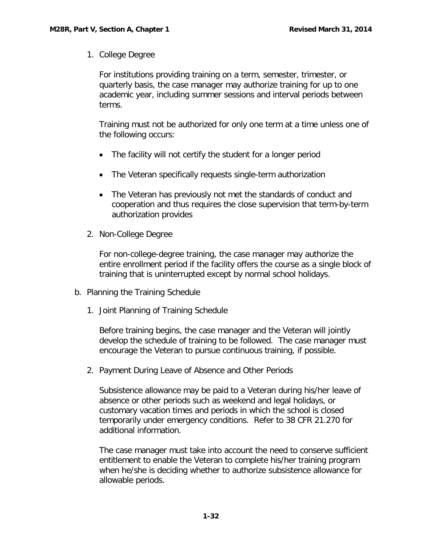<span id="page-34-0"></span>1. College Degree

For institutions providing training on a term, semester, trimester, or quarterly basis, the case manager may authorize training for up to one academic year, including summer sessions and interval periods between terms.

Training must not be authorized for only one term at a time unless one of the following occurs:

- The facility will not certify the student for a longer period
- The Veteran specifically requests single-term authorization
- The Veteran has previously not met the standards of conduct and cooperation and thus requires the close supervision that term-by-term authorization provides
- <span id="page-34-1"></span>2. Non-College Degree

For non-college-degree training, the case manager may authorize the entire enrollment period if the facility offers the course as a single block of training that is uninterrupted except by normal school holidays.

- <span id="page-34-3"></span><span id="page-34-2"></span>b. Planning the Training Schedule
	- 1. Joint Planning of Training Schedule

Before training begins, the case manager and the Veteran will jointly develop the schedule of training to be followed. The case manager must encourage the Veteran to pursue continuous training, if possible.

<span id="page-34-4"></span>2. Payment During Leave of Absence and Other Periods

Subsistence allowance may be paid to a Veteran during his/her leave of absence or other periods such as weekend and legal holidays, or customary vacation times and periods in which the school is closed temporarily under emergency conditions. Refer to 38 CFR 21.270 for additional information.

The case manager must take into account the need to conserve sufficient entitlement to enable the Veteran to complete his/her training program when he/she is deciding whether to authorize subsistence allowance for allowable periods.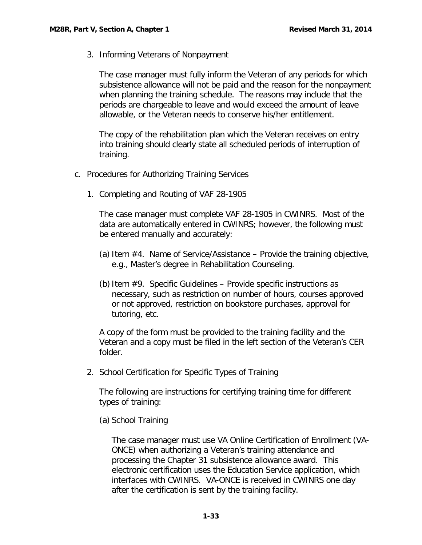<span id="page-35-0"></span>3. Informing Veterans of Nonpayment

The case manager must fully inform the Veteran of any periods for which subsistence allowance will not be paid and the reason for the nonpayment when planning the training schedule. The reasons may include that the periods are chargeable to leave and would exceed the amount of leave allowable, or the Veteran needs to conserve his/her entitlement.

The copy of the rehabilitation plan which the Veteran receives on entry into training should clearly state all scheduled periods of interruption of training.

- <span id="page-35-2"></span><span id="page-35-1"></span>c. Procedures for Authorizing Training Services
	- 1. Completing and Routing of VAF 28-1905

The case manager must complete VAF 28-1905 in CWINRS. Most of the data are automatically entered in CWINRS; however, the following must be entered manually and accurately:

- (a) Item #4. Name of Service/Assistance Provide the training objective, e.g., Master's degree in Rehabilitation Counseling.
- (b) Item  $#9$ . Specific Guidelines Provide specific instructions as necessary, such as restriction on number of hours, courses approved or not approved, restriction on bookstore purchases, approval for tutoring, etc.

A copy of the form must be provided to the training facility and the Veteran and a copy must be filed in the left section of the Veteran's CER folder.

<span id="page-35-3"></span>2. School Certification for Specific Types of Training

The following are instructions for certifying training time for different types of training:

(a) School Training

The case manager must use VA Online Certification of Enrollment (VA-ONCE) when authorizing a Veteran's training attendance and processing the Chapter 31 subsistence allowance award. This electronic certification uses the Education Service application, which interfaces with CWINRS. VA-ONCE is received in CWINRS one day after the certification is sent by the training facility.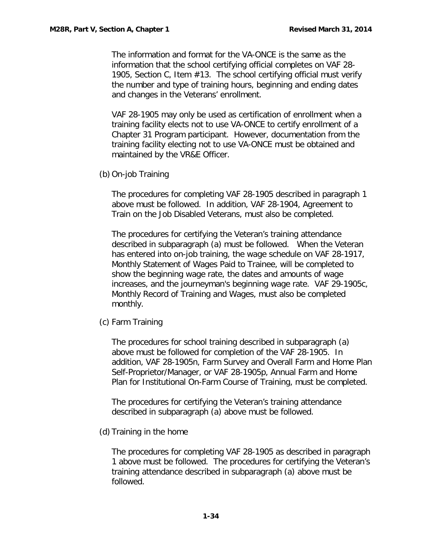The information and format for the VA-ONCE is the same as the information that the school certifying official completes on VAF 28- 1905, Section C, Item #13. The school certifying official must verify the number and type of training hours, beginning and ending dates and changes in the Veterans' enrollment.

VAF 28-1905 may only be used as certification of enrollment when a training facility elects not to use VA-ONCE to certify enrollment of a Chapter 31 Program participant. However, documentation from the training facility electing not to use VA-ONCE must be obtained and maintained by the VR&E Officer.

(b) On-job Training

The procedures for completing VAF 28-1905 described in paragraph 1 above must be followed. In addition, VAF 28-1904, Agreement to Train on the Job Disabled Veterans, must also be completed.

The procedures for certifying the Veteran's training attendance described in subparagraph (a) must be followed. When the Veteran has entered into on-job training, the wage schedule on VAF 28-1917, Monthly Statement of Wages Paid to Trainee, will be completed to show the beginning wage rate, the dates and amounts of wage increases, and the journeyman's beginning wage rate. VAF 29-1905c, Monthly Record of Training and Wages, must also be completed monthly.

(c) Farm Training

The procedures for school training described in subparagraph (a) above must be followed for completion of the VAF 28-1905. In addition, VAF 28-1905n, Farm Survey and Overall Farm and Home Plan Self-Proprietor/Manager, or VAF 28-1905p, Annual Farm and Home Plan for Institutional On-Farm Course of Training, must be completed.

The procedures for certifying the Veteran's training attendance described in subparagraph (a) above must be followed.

(d) Training in the home

The procedures for completing VAF 28-1905 as described in paragraph 1 above must be followed. The procedures for certifying the Veteran's training attendance described in subparagraph (a) above must be followed.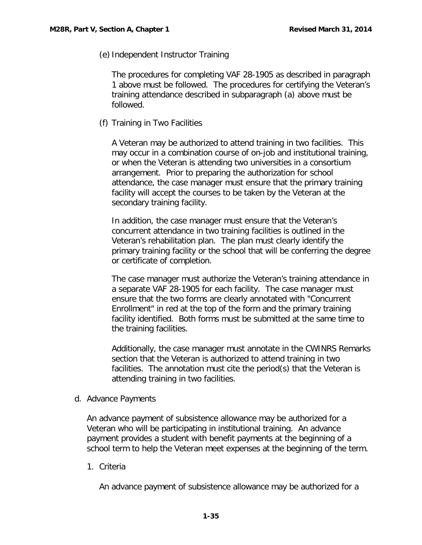(e) Independent Instructor Training

The procedures for completing VAF 28-1905 as described in paragraph 1 above must be followed. The procedures for certifying the Veteran's training attendance described in subparagraph (a) above must be followed.

(f) Training in Two Facilities

A Veteran may be authorized to attend training in two facilities. This may occur in a combination course of on-job and institutional training, or when the Veteran is attending two universities in a consortium arrangement. Prior to preparing the authorization for school attendance, the case manager must ensure that the primary training facility will accept the courses to be taken by the Veteran at the secondary training facility.

In addition, the case manager must ensure that the Veteran's concurrent attendance in two training facilities is outlined in the Veteran's rehabilitation plan. The plan must clearly identify the primary training facility or the school that will be conferring the degree or certificate of completion.

The case manager must authorize the Veteran's training attendance in a separate VAF 28-1905 for each facility. The case manager must ensure that the two forms are clearly annotated with "Concurrent Enrollment" in red at the top of the form and the primary training facility identified. Both forms must be submitted at the same time to the training facilities.

Additionally, the case manager must annotate in the CWINRS Remarks section that the Veteran is authorized to attend training in two facilities. The annotation must cite the period(s) that the Veteran is attending training in two facilities.

<span id="page-37-0"></span>d. Advance Payments

An advance payment of subsistence allowance may be authorized for a Veteran who will be participating in institutional training. An advance payment provides a student with benefit payments at the beginning of a school term to help the Veteran meet expenses at the beginning of the term.

<span id="page-37-1"></span>1. Criteria

An advance payment of subsistence allowance may be authorized for a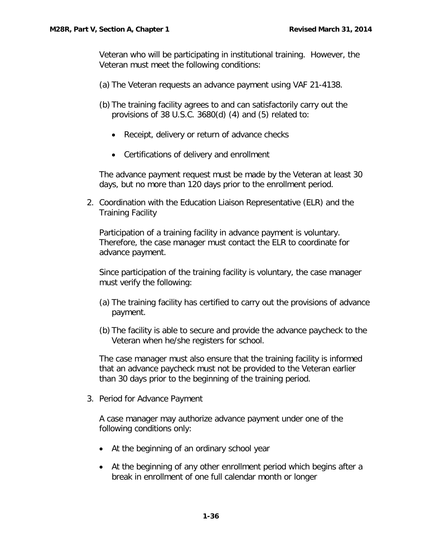Veteran who will be participating in institutional training. However, the Veteran must meet the following conditions:

- (a) The Veteran requests an advance payment using VAF 21-4138.
- (b) The training facility agrees to and can satisfactorily carry out the provisions of 38 U.S.C. 3680(d) (4) and (5) related to:
	- Receipt, delivery or return of advance checks
	- Certifications of delivery and enrollment

The advance payment request must be made by the Veteran at least 30 days, but no more than 120 days prior to the enrollment period.

<span id="page-38-0"></span>2. Coordination with the Education Liaison Representative (ELR) and the Training Facility

Participation of a training facility in advance payment is voluntary. Therefore, the case manager must contact the ELR to coordinate for advance payment.

Since participation of the training facility is voluntary, the case manager must verify the following:

- (a) The training facility has certified to carry out the provisions of advance payment.
- (b) The facility is able to secure and provide the advance paycheck to the Veteran when he/she registers for school.

The case manager must also ensure that the training facility is informed that an advance paycheck must not be provided to the Veteran earlier than 30 days prior to the beginning of the training period.

<span id="page-38-1"></span>3. Period for Advance Payment

A case manager may authorize advance payment under one of the following conditions only:

- At the beginning of an ordinary school year
- At the beginning of any other enrollment period which begins after a break in enrollment of one full calendar month or longer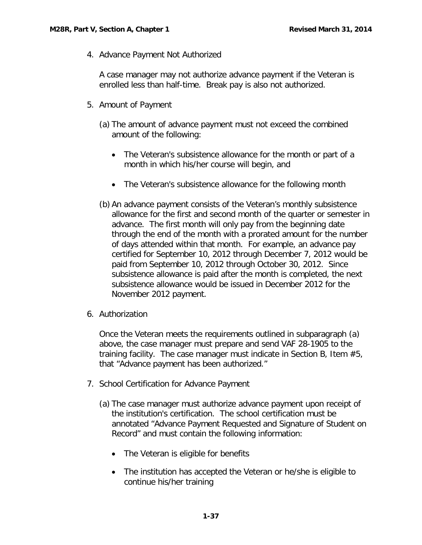<span id="page-39-0"></span>4. Advance Payment Not Authorized

A case manager may not authorize advance payment if the Veteran is enrolled less than half-time. Break pay is also not authorized.

- <span id="page-39-1"></span>5. Amount of Payment
	- (a) The amount of advance payment must not exceed the combined amount of the following:
		- The Veteran's subsistence allowance for the month or part of a month in which his/her course will begin, and
		- The Veteran's subsistence allowance for the following month
	- (b) An advance payment consists of the Veteran's monthly subsistence allowance for the first and second month of the quarter or semester in advance. The first month will only pay from the beginning date through the end of the month with a prorated amount for the number of days attended within that month. For example, an advance pay certified for September 10, 2012 through December 7, 2012 would be paid from September 10, 2012 through October 30, 2012. Since subsistence allowance is paid after the month is completed, the next subsistence allowance would be issued in December 2012 for the November 2012 payment.
- <span id="page-39-2"></span>6. Authorization

Once the Veteran meets the requirements outlined in subparagraph (a) above, the case manager must prepare and send VAF 28-1905 to the training facility. The case manager must indicate in Section B, Item #5, that "Advance payment has been authorized."

- <span id="page-39-3"></span>7. School Certification for Advance Payment
	- (a) The case manager must authorize advance payment upon receipt of the institution's certification. The school certification must be annotated "Advance Payment Requested and Signature of Student on Record" and must contain the following information:
		- The Veteran is eligible for benefits
		- The institution has accepted the Veteran or he/she is eligible to continue his/her training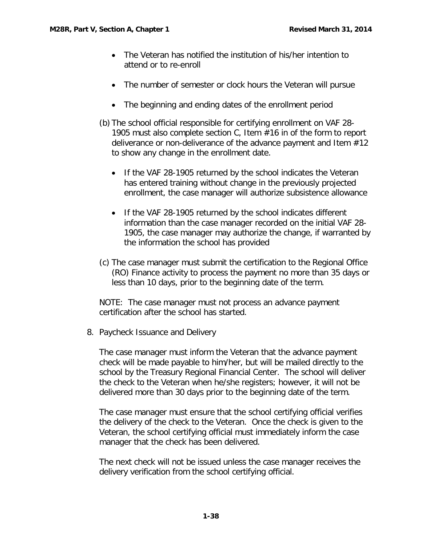- The Veteran has notified the institution of his/her intention to attend or to re-enroll
- The number of semester or clock hours the Veteran will pursue
- The beginning and ending dates of the enrollment period
- (b) The school official responsible for certifying enrollment on VAF 28- 1905 must also complete section C, Item #16 in of the form to report deliverance or non-deliverance of the advance payment and Item #12 to show any change in the enrollment date.
	- If the VAF 28-1905 returned by the school indicates the Veteran has entered training without change in the previously projected enrollment, the case manager will authorize subsistence allowance
	- If the VAF 28-1905 returned by the school indicates different information than the case manager recorded on the initial VAF 28- 1905, the case manager may authorize the change, if warranted by the information the school has provided
- (c) The case manager must submit the certification to the Regional Office (RO) Finance activity to process the payment no more than 35 days or less than 10 days, prior to the beginning date of the term.

NOTE: The case manager must not process an advance payment certification after the school has started.

<span id="page-40-0"></span>8. Paycheck Issuance and Delivery

The case manager must inform the Veteran that the advance payment check will be made payable to him/her, but will be mailed directly to the school by the Treasury Regional Financial Center. The school will deliver the check to the Veteran when he/she registers; however, it will not be delivered more than 30 days prior to the beginning date of the term.

The case manager must ensure that the school certifying official verifies the delivery of the check to the Veteran. Once the check is given to the Veteran, the school certifying official must immediately inform the case manager that the check has been delivered.

The next check will not be issued unless the case manager receives the delivery verification from the school certifying official.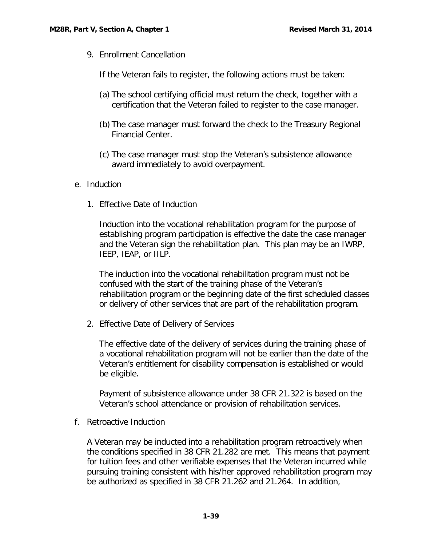<span id="page-41-0"></span>9. Enrollment Cancellation

If the Veteran fails to register, the following actions must be taken:

- (a) The school certifying official must return the check, together with a certification that the Veteran failed to register to the case manager.
- (b) The case manager must forward the check to the Treasury Regional Financial Center.
- (c) The case manager must stop the Veteran's subsistence allowance award immediately to avoid overpayment.
- <span id="page-41-2"></span><span id="page-41-1"></span>e. Induction
	- 1. Effective Date of Induction

Induction into the vocational rehabilitation program for the purpose of establishing program participation is effective the date the case manager and the Veteran sign the rehabilitation plan. This plan may be an IWRP, IEEP, IEAP, or IILP.

The induction into the vocational rehabilitation program must not be confused with the start of the training phase of the Veteran's rehabilitation program or the beginning date of the first scheduled classes or delivery of other services that are part of the rehabilitation program.

<span id="page-41-3"></span>2. Effective Date of Delivery of Services

The effective date of the delivery of services during the training phase of a vocational rehabilitation program will not be earlier than the date of the Veteran's entitlement for disability compensation is established or would be eligible.

Payment of subsistence allowance under 38 CFR 21.322 is based on the Veteran's school attendance or provision of rehabilitation services.

<span id="page-41-4"></span>f. Retroactive Induction

A Veteran may be inducted into a rehabilitation program retroactively when the conditions specified in 38 CFR 21.282 are met. This means that payment for tuition fees and other verifiable expenses that the Veteran incurred while pursuing training consistent with his/her approved rehabilitation program may be authorized as specified in 38 CFR 21.262 and 21.264. In addition,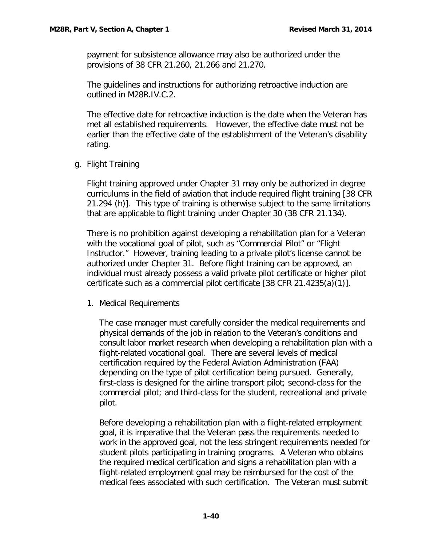payment for subsistence allowance may also be authorized under the provisions of 38 CFR 21.260, 21.266 and 21.270.

The guidelines and instructions for authorizing retroactive induction are outlined in M28R.IV.C.2.

The effective date for retroactive induction is the date when the Veteran has met all established requirements. However, the effective date must not be earlier than the effective date of the establishment of the Veteran's disability rating.

<span id="page-42-0"></span>g. Flight Training

Flight training approved under Chapter 31 may only be authorized in degree curriculums in the field of aviation that include required flight training [38 CFR 21.294 (h)]. This type of training is otherwise subject to the same limitations that are applicable to flight training under Chapter 30 (38 CFR 21.134).

There is no prohibition against developing a rehabilitation plan for a Veteran with the vocational goal of pilot, such as "Commercial Pilot" or "Flight Instructor." However, training leading to a private pilot's license cannot be authorized under Chapter 31. Before flight training can be approved, an individual must already possess a valid private pilot certificate or higher pilot certificate such as a commercial pilot certificate [38 CFR 21.4235(a)(1)].

<span id="page-42-1"></span>1. Medical Requirements

The case manager must carefully consider the medical requirements and physical demands of the job in relation to the Veteran's conditions and consult labor market research when developing a rehabilitation plan with a flight-related vocational goal. There are several levels of medical certification required by the Federal Aviation Administration (FAA) depending on the type of pilot certification being pursued. Generally, first-class is designed for the airline transport pilot; second-class for the commercial pilot; and third-class for the student, recreational and private pilot.

Before developing a rehabilitation plan with a flight-related employment goal, it is imperative that the Veteran pass the requirements needed to work in the approved goal, not the less stringent requirements needed for student pilots participating in training programs. A Veteran who obtains the required medical certification and signs a rehabilitation plan with a flight-related employment goal may be reimbursed for the cost of the medical fees associated with such certification. The Veteran must submit